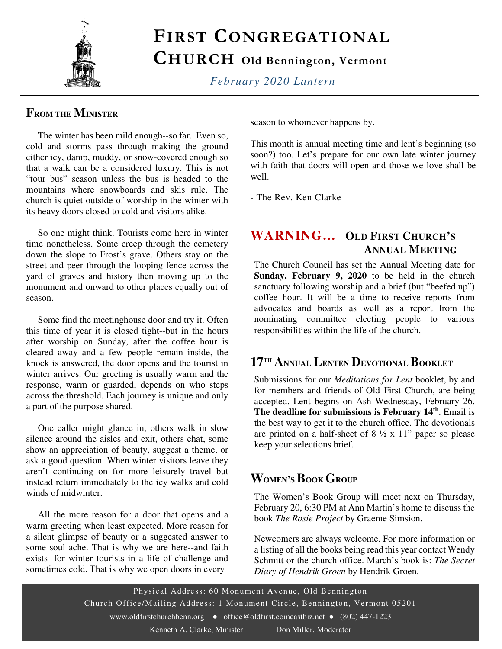

## FIRST CONGREGATIONAL

## CHURCH Old Bennington, Vermont

*February 2020 Lantern* 

#### **FROM THE MINISTER**

 The winter has been mild enough--so far. Even so, cold and storms pass through making the ground either icy, damp, muddy, or snow-covered enough so that a walk can be a considered luxury. This is not "tour bus" season unless the bus is headed to the mountains where snowboards and skis rule. The church is quiet outside of worship in the winter with its heavy doors closed to cold and visitors alike.

 So one might think. Tourists come here in winter time nonetheless. Some creep through the cemetery down the slope to Frost's grave. Others stay on the street and peer through the looping fence across the yard of graves and history then moving up to the monument and onward to other places equally out of season.

 Some find the meetinghouse door and try it. Often this time of year it is closed tight--but in the hours after worship on Sunday, after the coffee hour is cleared away and a few people remain inside, the knock is answered, the door opens and the tourist in winter arrives. Our greeting is usually warm and the response, warm or guarded, depends on who steps across the threshold. Each journey is unique and only a part of the purpose shared.

 One caller might glance in, others walk in slow silence around the aisles and exit, others chat, some show an appreciation of beauty, suggest a theme, or ask a good question. When winter visitors leave they aren't continuing on for more leisurely travel but instead return immediately to the icy walks and cold winds of midwinter.

 All the more reason for a door that opens and a warm greeting when least expected. More reason for a silent glimpse of beauty or a suggested answer to some soul ache. That is why we are here--and faith exists--for winter tourists in a life of challenge and sometimes cold. That is why we open doors in every

season to whomever happens by.

This month is annual meeting time and lent's beginning (so soon?) too. Let's prepare for our own late winter journey with faith that doors will open and those we love shall be well.

- The Rev. Ken Clarke

#### **WARNING… OLD FIRST CHURCH'<sup>S</sup> ANNUAL MEETING**

The Church Council has set the Annual Meeting date for **Sunday, February 9, 2020** to be held in the church sanctuary following worship and a brief (but "beefed up") coffee hour. It will be a time to receive reports from advocates and boards as well as a report from the nominating committee electing people to various responsibilities within the life of the church.

#### **17TH ANNUAL LENTEN DEVOTIONAL BOOKLET**

Submissions for our *Meditations for Lent* booklet, by and for members and friends of Old First Church, are being accepted. Lent begins on Ash Wednesday, February 26. **The deadline for submissions is February 14th**. Email is the best way to get it to the church office. The devotionals are printed on a half-sheet of  $8\frac{1}{2} \times 11$ " paper so please keep your selections brief.

#### **WOMEN'SBOOK GROUP**

The Women's Book Group will meet next on Thursday, February 20, 6:30 PM at Ann Martin's home to discuss the book *The Rosie Project* by Graeme Simsion.

Newcomers are always welcome. For more information or a listing of all the books being read this year contact Wendy Schmitt or the church office. March's book is: *The Secret Diary of Hendrik Groen* by Hendrik Groen.

Physical Address: 60 Monument Avenue, Old Bennington Church Office/Mailing Address: 1 Monument Circle, Bennington, Vermont 05201 www.oldfirstchurchbenn.org • office@oldfirst.comcastbiz.net • (802) 447-1223 Kenneth A. Clarke, Minister Don Miller, Moderator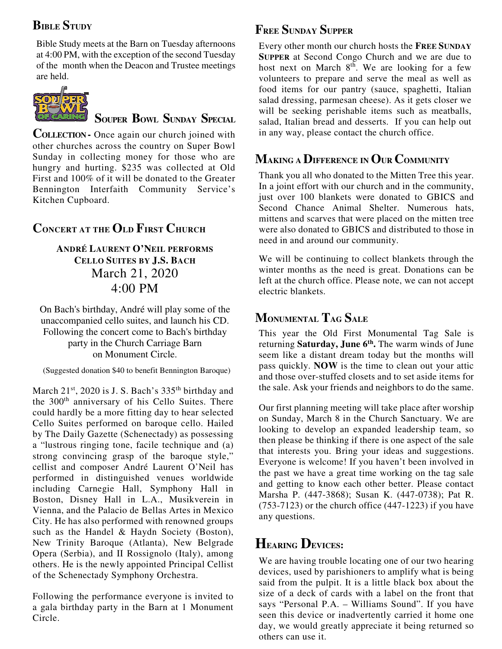## **BIBLE STUDY**

Bible Study meets at the Barn on Tuesday afternoons at 4:00 PM, with the exception of the second Tuesday of the month when the Deacon and Trustee meetings are held.



**SOUPER BOWL SUNDAY SPECIAL**

**COLLECTION -** Once again our church joined with other churches across the country on Super Bowl Sunday in collecting money for those who are hungry and hurting. \$235 was collected at Old First and 100% of it will be donated to the Greater Bennington Interfaith Community Service's Kitchen Cupboard.

## **CONCERT AT THE OLD FIRST CHURCH**

#### **ANDRÉ LAURENT O'NEIL PERFORMS CELLO SUITES BY J.S. BACH** March 21, 2020 4:00 PM

On Bach's birthday, André will play some of the unaccompanied cello suites, and launch his CD. Following the concert come to Bach's birthday party in the Church Carriage Barn on Monument Circle.

(Suggested donation \$40 to benefit Bennington Baroque)

March  $21^{st}$ ,  $2020$  is J. S. Bach's  $335^{th}$  birthday and the 300<sup>th</sup> anniversary of his Cello Suites. There could hardly be a more fitting day to hear selected Cello Suites performed on baroque cello. Hailed by The Daily Gazette (Schenectady) as possessing a "lustrous ringing tone, facile technique and (a) strong convincing grasp of the baroque style," cellist and composer André Laurent O'Neil has performed in distinguished venues worldwide including Carnegie Hall, Symphony Hall in Boston, Disney Hall in L.A., Musikverein in Vienna, and the Palacio de Bellas Artes in Mexico City. He has also performed with renowned groups such as the Handel & Haydn Society (Boston), New Trinity Baroque (Atlanta), New Belgrade Opera (Serbia), and II Rossignolo (Italy), among others. He is the newly appointed Principal Cellist of the Schenectady Symphony Orchestra.

Following the performance everyone is invited to a gala birthday party in the Barn at 1 Monument Circle.

#### **FREE SUNDAY SUPPER**

Every other month our church hosts the **FREE SUNDAY SUPPER** at Second Congo Church and we are due to host next on March  $8^{th}$ . We are looking for a few volunteers to prepare and serve the meal as well as food items for our pantry (sauce, spaghetti, Italian salad dressing, parmesan cheese). As it gets closer we will be seeking perishable items such as meatballs, salad, Italian bread and desserts. If you can help out in any way, please contact the church office.

### **MAKING A DIFFERENCE IN OUR COMMUNITY**

Thank you all who donated to the Mitten Tree this year. In a joint effort with our church and in the community, just over 100 blankets were donated to GBICS and Second Chance Animal Shelter. Numerous hats, mittens and scarves that were placed on the mitten tree were also donated to GBICS and distributed to those in need in and around our community.

We will be continuing to collect blankets through the winter months as the need is great. Donations can be left at the church office. Please note, we can not accept electric blankets.

### **MONUMENTAL TAG SALE**

This year the Old First Monumental Tag Sale is returning **Saturday, June 6th .** The warm winds of June seem like a distant dream today but the months will pass quickly. **NOW** is the time to clean out your attic and those over-stuffed closets and to set aside items for the sale. Ask your friends and neighbors to do the same.

Our first planning meeting will take place after worship on Sunday, March 8 in the Church Sanctuary. We are looking to develop an expanded leadership team, so then please be thinking if there is one aspect of the sale that interests you. Bring your ideas and suggestions. Everyone is welcome! If you haven't been involved in the past we have a great time working on the tag sale and getting to know each other better. Please contact Marsha P. (447-3868); Susan K. (447-0738); Pat R.  $(753-7123)$  or the church office  $(447-1223)$  if you have any questions.

## **HEARING DEVICES:**

We are having trouble locating one of our two hearing devices, used by parishioners to amplify what is being said from the pulpit. It is a little black box about the size of a deck of cards with a label on the front that says "Personal P.A. – Williams Sound". If you have seen this device or inadvertently carried it home one day, we would greatly appreciate it being returned so others can use it.